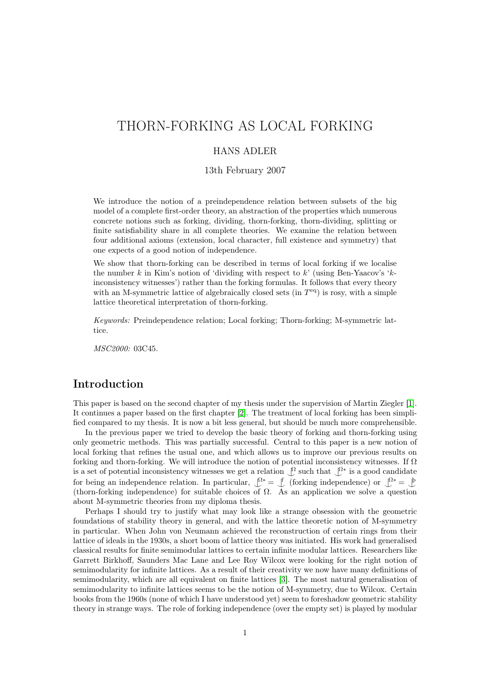# THORN-FORKING AS LOCAL FORKING

#### HANS ADLER

13th February 2007

We introduce the notion of a preindependence relation between subsets of the big model of a complete first-order theory, an abstraction of the properties which numerous concrete notions such as forking, dividing, thorn-forking, thorn-dividing, splitting or finite satisfiability share in all complete theories. We examine the relation between four additional axioms (extension, local character, full existence and symmetry) that one expects of a good notion of independence.

We show that thorn-forking can be described in terms of local forking if we localise the number k in Kim's notion of 'dividing with respect to  $k'$  (using Ben-Yaacov's 'kinconsistency witnesses') rather than the forking formulas. It follows that every theory with an M-symmetric lattice of algebraically closed sets (in  $T<sup>eq</sup>$ ) is rosy, with a simple lattice theoretical interpretation of thorn-forking.

Keywords: Preindependence relation; Local forking; Thorn-forking; M-symmetric lattice.

MSC2000: 03C45.

## Introduction

This paper is based on the second chapter of my thesis under the supervision of Martin Ziegler [\[1\]](#page-12-0). It continues a paper based on the first chapter [\[2\]](#page-12-1). The treatment of local forking has been simplified compared to my thesis. It is now a bit less general, but should be much more comprehensible.

In the previous paper we tried to develop the basic theory of forking and thorn-forking using only geometric methods. This was partially successful. Central to this paper is a new notion of local forking that refines the usual one, and which allows us to improve our previous results on forking and thorn-forking. We will introduce the notion of potential inconsistency witnesses. If  $\Omega$ is a set of potential inconsistency witnesses we get a relation  $\mathcal{L}$  such that  $\mathcal{L}^*$  is a good candidate for being an independence relation. In particular,  $\mathcal{Q}^* = \mathcal{I}$  (forking independence) or  $\mathcal{Q}^* = \mathcal{I}$ (thorn-forking independence) for suitable choices of  $\Omega$ . As an application we solve a question about M-symmetric theories from my diploma thesis.

Perhaps I should try to justify what may look like a strange obsession with the geometric foundations of stability theory in general, and with the lattice theoretic notion of M-symmetry in particular. When John von Neumann achieved the reconstruction of certain rings from their lattice of ideals in the 1930s, a short boom of lattice theory was initiated. His work had generalised classical results for finite semimodular lattices to certain infinite modular lattices. Researchers like Garrett Birkhoff, Saunders Mac Lane and Lee Roy Wilcox were looking for the right notion of semimodularity for infinite lattices. As a result of their creativity we now have many definitions of semimodularity, which are all equivalent on finite lattices [\[3\]](#page-12-2). The most natural generalisation of semimodularity to infinite lattices seems to be the notion of M-symmetry, due to Wilcox. Certain books from the 1960s (none of which I have understood yet) seem to foreshadow geometric stability theory in strange ways. The role of forking independence (over the empty set) is played by modular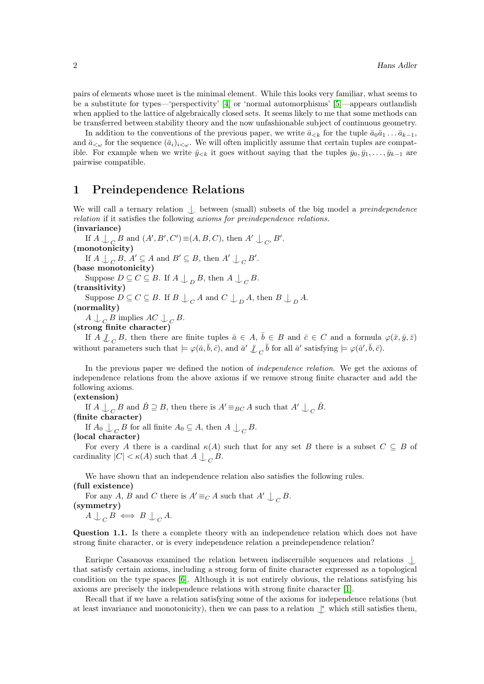pairs of elements whose meet is the minimal element. While this looks very familiar, what seems to be a substitute for types—'perspectivity' [\[4\]](#page-12-3) or 'normal automorphisms' [\[5\]](#page-12-4)—appears outlandish when applied to the lattice of algebraically closed sets. It seems likely to me that some methods can be transferred between stability theory and the now unfashionable subject of continuous geometry.

In addition to the conventions of the previous paper, we write  $\bar{a}_{\leq k}$  for the tuple  $\bar{a}_0\bar{a}_1 \ldots \bar{a}_{k-1}$ , and  $\bar{a}_{\leq \omega}$  for the sequence  $(\bar{a}_i)_{i\leq \omega}$ . We will often implicitly assume that certain tuples are compatible. For example when we write  $\bar{y}_{< k}$  it goes without saying that the tuples  $\bar{y}_0, \bar{y}_1, \ldots, \bar{y}_{k-1}$  are pairwise compatible.

## 1 Preindependence Relations

We will call a ternary relation  $\int$  between (small) subsets of the big model a *preindependence* relation if it satisfies the following axioms for preindependence relations. (invariance)

If  $A \bigcup_C B$  and  $(A', B', C') \equiv (A, B, C)$ , then  $A' \bigcup_{C'} B'$ . (monotonicity) If  $A \bigcup_C B$ ,  $A' \subseteq A$  and  $B' \subseteq B$ , then  $A' \bigcup_C B'$ . (base monotonicity) Suppose  $D \subseteq C \subseteq B$ . If  $A \bigcup_{D} B$ , then  $A \bigcup_{C} B$ . (transitivity) Suppose  $D \subseteq C \subseteq B$ . If  $B \bigcup_C A$  and  $C \bigcup_D A$ , then  $B \bigcup_D A$ . (normality)  $A \bigcup_C B$  implies  $AC \bigcup_C B$ .

(strong finite character)

If  $A \not\perp_C B$ , then there are finite tuples  $\bar{a} \in A$ ,  $\bar{b} \in B$  and  $\bar{c} \in C$  and a formula  $\varphi(\bar{x}, \bar{y}, \bar{z})$ without parameters such that  $\models \varphi(\bar{a}, \bar{b}, \bar{c})$ , and  $\bar{a}' \not\perp_C \bar{b}$  for all  $\bar{a}'$  satisfying  $\models \varphi(\bar{a}', \bar{b}, \bar{c})$ .

In the previous paper we defined the notion of independence relation. We get the axioms of independence relations from the above axioms if we remove strong finite character and add the following axioms.

#### (extension)

If  $A \cup_{C} B$  and  $\hat{B} \supseteq B$ , then there is  $A' \equiv_{BC} A$  such that  $A' \cup_{C} \hat{B}$ .

(finite character)

If  $A_0 \perp_C B$  for all finite  $A_0 \subseteq A$ , then  $A \perp_C B$ .

#### (local character)

For every A there is a cardinal  $\kappa(A)$  such that for any set B there is a subset  $C \subseteq B$  of cardinality  $|C| < \kappa(A)$  such that  $A \bigcup_C B$ .

We have shown that an independence relation also satisfies the following rules. (full existence)

For any A, B and C there is  $A' \equiv_C A$  such that  $A' \perp C B$ . (symmetry)  $A \bigcup_C B \iff B \bigcup_C A$ .

Question 1.1. Is there a complete theory with an independence relation which does not have strong finite character, or is every independence relation a preindependence relation?

Enrique Casanovas examined the relation between indiscernible sequences and relations ^| that satisfy certain axioms, including a strong form of finite character expressed as a topological condition on the type spaces [\[6\]](#page-12-5). Although it is not entirely obvious, the relations satisfying his axioms are precisely the independence relations with strong finite character [\[1\]](#page-12-0).

Recall that if we have a relation satisfying some of the axioms for independence relations (but at least invariance and monotonicity), then we can pass to a relation  $\psi$  which still satisfies them,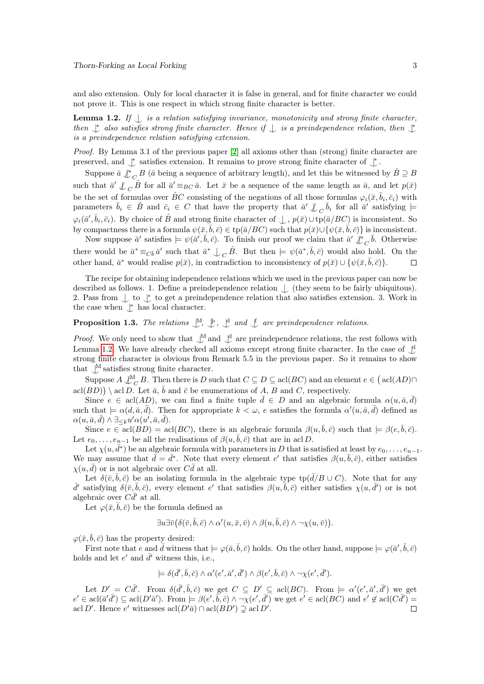and also extension. Only for local character it is false in general, and for finite character we could not prove it. This is one respect in which strong finite character is better.

<span id="page-2-0"></span>**Lemma 1.2.** If  $\int$  is a relation satisfying invariance, monotonicity and strong finite character, then  $\uparrow$  also satisfies strong finite character. Hence if  $\downarrow$  is a preindependence relation, then  $\downarrow$ is a preindependence relation satisfying extension.

Proof. By Lemma 3.1 of the previous paper [\[2\]](#page-12-1) all axioms other than (strong) finite character are preserved, and  $\mathop{\downarrow}\limits^*$  satisfies extension. It remains to prove strong finite character of  $\mathop{\downarrow}\limits^*$  .

Suppose  $\bar{a} \perp c B$  ( $\bar{a}$  being a sequence of arbitrary length), and let this be witnessed by  $\hat{B} \supseteq B$ such that  $\bar{a}' \not\perp_C \hat{B}$  for all  $\bar{a}' \equiv_{BC} \bar{a}$ . Let  $\bar{x}$  be a sequence of the same length as  $\bar{a}$ , and let  $p(\bar{x})$ be the set of formulas over  $\hat{B}C$  consisting of the negations of all those formulas  $\varphi_i(\bar{x}, \bar{b}_i, \bar{c}_i)$  with parameters  $\bar{b}_i \in \hat{B}$  and  $\bar{c}_i \in C$  that have the property that  $\bar{a}' \not\perp_C \bar{b}_i$  for all  $\bar{a}'$  satisfying  $\models$  $\varphi_i(\bar{a}', \bar{b}_i, \bar{c}_i)$ . By choice of  $\hat{B}$  and strong finite character of  $\perp$ ,  $p(\bar{x})\cup \text{tp}(\bar{a}/BC)$  is inconsistent. So by compactness there is a formula  $\psi(\bar{x}, \bar{b}, \bar{c}) \in \text{tp}(\bar{a}/BC)$  such that  $p(\bar{x}) \cup \{\psi(\bar{x}, \bar{b}, \bar{c})\}$  is inconsistent.

Now suppose  $\bar{a}'$  satisfies  $\models \psi(\bar{a}', \bar{b}, \bar{c})$ . To finish our proof we claim that  $\bar{a}' \not\downarrow^*_{C} \bar{b}$ . Otherwise there would be  $\bar{a}^* \equiv_{C\bar{b}} \bar{a}'$  such that  $\bar{a}^* \perp_C \hat{B}$ . But then  $\models \psi(\bar{a}^*, \bar{b}, \bar{c})$  would also hold. On the other hand,  $\bar{a}^*$  would realise  $p(\bar{x})$ , in contradiction to inconsistency of  $p(\bar{x}) \cup \{\psi(\bar{x}, \bar{b}, \bar{c})\}.$  $\Box$ 

The recipe for obtaining independence relations which we used in the previous paper can now be described as follows. 1. Define a preindependence relation  $\int$  (they seem to be fairly ubiquitous). 2. Pass from  $\bigcup_{\kappa}$  to get a preindependence relation that also satisfies extension. 3. Work in the case when  $\downarrow^*$  has local character.

## **Proposition 1.3.** The relations  $\[\mathbb{M}, \mathbb{B}, \mathbb{C}\]$  and  $\[\mathbb{F}$  are preindependence relations.

*Proof.* We only need to show that  $\bigcup^M$  and  $\bigcup^d$  are preindependence relations, the rest follows with Lemma [1.2.](#page-2-0) We have already checked all axioms except strong finite character. In the case of  $\bigcup_{\alpha=1}^{\infty}$ strong finite character is obvious from Remark 5.5 in the previous paper. So it remains to show that  $\mathcal{N}$  satisfies strong finite character.

Suppose  $A \bigcup_{C}^{M} B$ . Then there is D such that  $C \subseteq D \subseteq \text{acl}(BC)$  and an element  $e \in (\text{acl}(AD) \cap$ acl $(BD)$ ) \ acl D. Let  $\bar{a}$ ,  $\bar{b}$  and  $\bar{c}$  be enumerations of A, B and C, respectively.

Since  $e \in \text{acl}(AD)$ , we can find a finite tuple  $\overline{d} \in D$  and an algebraic formula  $\alpha(u, \overline{a}, \overline{d})$ such that  $\models \alpha(d, \bar{a}, \bar{d})$ . Then for appropriate  $k < \omega$ , e satisfies the formula  $\alpha'(u, \bar{a}, \bar{d})$  defined as  $\alpha(u,\bar a,\bar d)\wedge \exists_{\leq k} u'\alpha(u',\bar a,\bar d).$ 

Since  $e \in \text{acl}(BD) = \text{acl}(BC)$ , there is an algebraic formula  $\beta(u, \bar{b}, \bar{c})$  such that  $\models \beta(e, \bar{b}, \bar{c})$ . Let  $e_0, \ldots, e_{n-1}$  be all the realisations of  $\beta(u, \overline{b}, \overline{c})$  that are in acl D.

Let  $\chi(u, \bar{d}^*)$  be an algebraic formula with parameters in  $D$  that is satisfied at least by  $e_0, \ldots, e_{n-1}.$ We may assume that  $\bar{d} = \bar{d}^*$ . Note that every element e' that satisfies  $\beta(u, \bar{b}, \bar{c})$ , either satisfies  $\chi(u, \bar{d})$  or is not algebraic over  $C\bar{d}$  at all.

Let  $\delta(\bar{v}, \bar{b}, \bar{c})$  be an isolating formula in the algebraic type tp( $d/B \cup C$ ). Note that for any  $\bar{d}'$  satisfying  $\delta(\bar{v}, \bar{b}, \bar{c})$ , every element e' that satisfies  $\beta(u, \bar{b}, \bar{c})$  either satisfies  $\chi(u, \bar{d}')$  or is not algebraic over  $C\overline{d}^{\prime}$  at all.

Let  $\varphi(\bar{x}, \bar{b}, \bar{c})$  be the formula defined as

$$
\exists u \exists \overline{v} \big( \delta(\overline{v}, \overline{b}, \overline{c}) \wedge \alpha'(u, \overline{x}, \overline{v}) \wedge \beta(u, \overline{b}, \overline{c}) \wedge \neg \chi(u, \overline{v}) \big).
$$

 $\varphi(\bar{x}, \bar{b}, \bar{c})$  has the property desired:

First note that e and  $\bar{d}$  witness that  $\models \varphi(\bar{a}, \bar{b}, \bar{c})$  holds. On the other hand, suppose  $\models \varphi(\bar{a}', \bar{b}, \bar{c})$ holds and let  $e'$  and  $\bar{d}'$  witness this, i.e.,

$$
\models \delta(\bar{d}', \bar{b}, \bar{c}) \land \alpha'(e', \bar{a}', \bar{d}') \land \beta(e', \bar{b}, \bar{c}) \land \neg \chi(e', \bar{d}').
$$

Let  $D' = C\overline{d}'$ . From  $\delta(\overline{d}', \overline{b}, \overline{c})$  we get  $C \subseteq D' \subseteq \text{acl}(BC)$ . From  $\models \alpha'(e', \overline{a}', \overline{d}')$  we get  $e' \in \operatorname{acl}(\bar{a}'\bar{d}') \subseteq \operatorname{acl}(D'\bar{a}')$ . From  $\models \beta(e', \bar{b}, \bar{c}) \land \neg \bar{\chi}(e', \bar{d}')$  we get  $e' \in \operatorname{acl}(BC)$  and  $e' \notin \operatorname{acl}(C\bar{d}') =$ acl D'. Hence e' witnesses  $\operatorname{acl}(D'\bar{a}) \cap \operatorname{acl}(BD') \supsetneq \operatorname{acl}D'$ .  $\Box$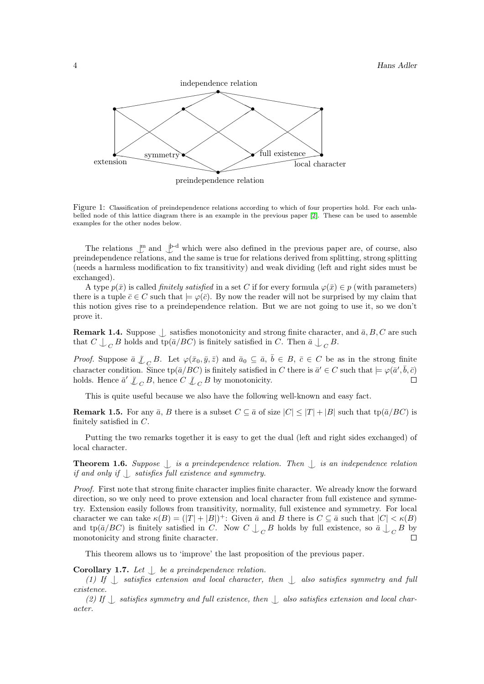

Figure 1: Classification of preindependence relations according to which of four properties hold. For each unlabelled node of this lattice diagram there is an example in the previous paper [\[2\]](#page-12-1). These can be used to assemble examples for the other nodes below.

The relations  $\mathbb{L}^m$  and  $\mathbb{L}^{b-d}$  which were also defined in the previous paper are, of course, also preindependence relations, and the same is true for relations derived from splitting, strong splitting (needs a harmless modification to fix transitivity) and weak dividing (left and right sides must be exchanged).

A type  $p(\bar{x})$  is called *finitely satisfied* in a set C if for every formula  $\varphi(\bar{x}) \in p$  (with parameters) there is a tuple  $\bar{c} \in C$  such that  $\models \varphi(\bar{c})$ . By now the reader will not be surprised by my claim that this notion gives rise to a preindependence relation. But we are not going to use it, so we don't prove it.

<span id="page-3-2"></span>**Remark 1.4.** Suppose  $\bigcup$  satisfies monotonicity and strong finite character, and  $\bar{a}$ , B, C are such that  $C \bigcup_C B$  holds and  $\text{tp}(\bar{a}/BC)$  is finitely satisfied in C. Then  $\bar{a} \bigcup_C B$ .

*Proof.* Suppose  $\bar{a} \not\perp_C B$ . Let  $\varphi(\bar{x}_0, \bar{y}, \bar{z})$  and  $\bar{a}_0 \subseteq \bar{a}, \bar{b} \in B$ ,  $\bar{c} \in C$  be as in the strong finite character condition. Since  $\text{tp}(\bar{a}/BC)$  is finitely satisfied in C there is  $\bar{a}' \in C$  such that  $\models \varphi(\bar{a}', \bar{b}, \bar{c})$ holds. Hence  $\bar{a}' \nsubseteq_C B$ , hence  $C \nsubseteq_C B$  by monotonicity.  $\Box$ 

This is quite useful because we also have the following well-known and easy fact.

<span id="page-3-1"></span>**Remark 1.5.** For any  $\bar{a}$ , B there is a subset  $C \subseteq \bar{a}$  of size  $|C| \leq |T| + |B|$  such that tp( $\bar{a}/BC$ ) is finitely satisfied in C.

Putting the two remarks together it is easy to get the dual (left and right sides exchanged) of local character.

<span id="page-3-0"></span>**Theorem 1.6.** Suppose  $\bigcup$  is a preindependence relation. Then  $\bigcup$  is an independence relation if and only if  $\bigcup$  satisfies full existence and symmetry.

Proof. First note that strong finite character implies finite character. We already know the forward direction, so we only need to prove extension and local character from full existence and symmetry. Extension easily follows from transitivity, normality, full existence and symmetry. For local character we can take  $\kappa(B) = (|T| + |B|)^{+}$ : Given  $\bar{a}$  and  $B$  there is  $C \subseteq \bar{a}$  such that  $|C| < \kappa(B)$ and tp( $\bar{a}/BC$ ) is finitely satisfied in C. Now  $C \perp_C B$  holds by full existence, so  $\bar{a} \perp_C B$  by monotonicity and strong finite character.

This theorem allows us to 'improve' the last proposition of the previous paper.

Corollary 1.7. Let  $\bigcup$  be a preindependence relation.

(1) If  $\int$  satisfies extension and local character, then  $\int$  also satisfies symmetry and full existence.

(2) If  $\perp$  satisfies symmetry and full existence, then  $\perp$  also satisfies extension and local character.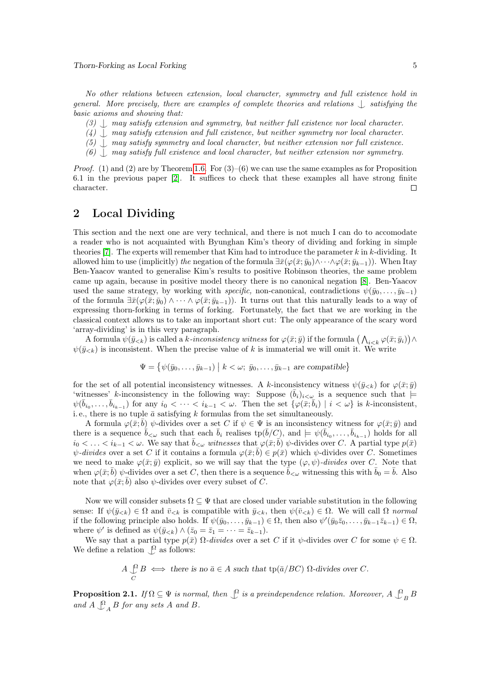No other relations between extension, local character, symmetry and full existence hold in general. More precisely, there are examples of complete theories and relations  $\Box$  satisfying the basic axioms and showing that:

- (3)  $\langle$  may satisfy extension and symmetry, but neither full existence nor local character.
- $(4)$ , may satisfy extension and full existence, but neither symmetry nor local character.
- $(5)$  | may satisfy symmetry and local character, but neither extension nor full existence.
- $(6)$  | may satisfy full existence and local character, but neither extension nor symmetry.

*Proof.* (1) and (2) are by Theorem [1.6.](#page-3-0) For  $(3)-(6)$  we can use the same examples as for Proposition 6.1 in the previous paper [\[2\]](#page-12-1). It suffices to check that these examples all have strong finite character.  $\Box$ 

## 2 Local Dividing

This section and the next one are very technical, and there is not much I can do to accomodate a reader who is not acquainted with Byunghan Kim's theory of dividing and forking in simple theories [\[7\]](#page-12-6). The experts will remember that Kim had to introduce the parameter  $k$  in  $k$ -dividing. It allowed him to use (implicitly) the negation of the formula  $\exists \bar{x}(\varphi(\bar{x}; \bar{y}_0) \wedge \cdots \wedge \varphi(\bar{x}; \bar{y}_{k-1}))$ . When Itay Ben-Yaacov wanted to generalise Kim's results to positive Robinson theories, the same problem came up again, because in positive model theory there is no canonical negation [\[8\]](#page-12-7). Ben-Yaacov used the same strategy, by working with specific, non-canonical, contradictions  $\psi(\bar{y}_0, \ldots, \bar{y}_{k-1})$ of the formula  $\exists \bar{x}(\varphi(\bar{x}; \bar{y}_0) \wedge \cdots \wedge \varphi(\bar{x}; \bar{y}_{k-1}))$ . It turns out that this naturally leads to a way of expressing thorn-forking in terms of forking. Fortunately, the fact that we are working in the classical context allows us to take an important short cut: The only appearance of the scary word 'array-dividing' is in this very paragraph.

A formula  $\psi(\bar{y}_{< k})$  is called a k-inconsistency witness for  $\varphi(\bar{x}; \bar{y})$  if the formula  $\left(\bigwedge_{i < k} \varphi(\bar{x}; \bar{y}_i)\right) \wedge$  $\psi(\bar{y}_{< k})$  is inconsistent. When the precise value of k is immaterial we will omit it. We write

$$
\Psi = \{ \psi(\bar{y}_0, \dots, \bar{y}_{k-1}) \mid k < \omega; \ \bar{y}_0, \dots, \bar{y}_{k-1} \ \text{are compatible} \}
$$

for the set of all potential inconsistency witnesses. A k-inconsistency witness  $\psi(\bar{y}_{< k})$  for  $\varphi(\bar{x}; \bar{y})$ 'witnesses' k-inconsistency in the following way: Suppose  $(\bar{b}_i)_{i\lt\omega}$  is a sequence such that  $\models$  $\psi(\bar{b}_{i_0},\ldots,\bar{b}_{i_{k-1}})$  for any  $i_0 < \cdots < i_{k-1} < \omega$ . Then the set  $\{\varphi(\bar{x}; \bar{b}_i) \mid i < \omega\}$  is k-inconsistent, i.e., there is no tuple  $\bar{a}$  satisfying k formulas from the set simultaneously.

A formula  $\varphi(\bar{x}; \bar{b})$   $\psi$ -divides over a set C if  $\psi \in \Psi$  is an inconsistency witness for  $\varphi(\bar{x}; \bar{y})$  and there is a sequence  $\bar{b}_{< \omega}$  such that each  $\bar{b}_i$  realises  $tp(\bar{b}/C)$ , and  $\models \psi(\bar{b}_{i_0}, \ldots, \bar{b}_{i_{k-1}})$  holds for all  $i_0 < \ldots < i_{k-1} < \omega$ . We say that  $\bar{b}_{\leq \omega}$  witnesses that  $\varphi(\bar{x}; \bar{b})$   $\psi$ -divides over C. A partial type  $p(\bar{x})$  $\psi$ -divides over a set C if it contains a formula  $\varphi(\bar{x};\bar{b}) \in p(\bar{x})$  which  $\psi$ -divides over C. Sometimes we need to make  $\varphi(\bar{x}; \bar{y})$  explicit, so we will say that the type  $(\varphi, \psi)$ -divides over C. Note that when  $\varphi(\bar{x}; \bar{b})$   $\psi$ -divides over a set C, then there is a sequence  $\bar{b}_{\leq \omega}$  witnessing this with  $\bar{b}_0 = \bar{b}$ . Also note that  $\varphi(\bar{x}; \bar{b})$  also  $\psi$ -divides over every subset of C.

Now we will consider subsets  $\Omega \subseteq \Psi$  that are closed under variable substitution in the following sense: If  $\psi(\bar{y}_{< k}) \in \Omega$  and  $\bar{v}_{< k}$  is compatible with  $\bar{y}_{< k}$ , then  $\psi(\bar{v}_{< k}) \in \Omega$ . We will call  $\Omega$  normal if the following principle also holds. If  $\psi(\bar{y}_0, \ldots, \bar{y}_{k-1}) \in \Omega$ , then also  $\psi'(\bar{y}_0 \bar{z}_0, \ldots, \bar{y}_{k-1} \bar{z}_{k-1}) \in \Omega$ , where  $\psi'$  is defined as  $\psi(\bar{y}_{< k}) \wedge (\bar{z}_0 = \bar{z}_1 = \cdots = \bar{z}_{k-1}).$ 

We say that a partial type  $p(\bar{x})$   $\Omega$ -divides over a set C if it  $\psi$ -divides over C for some  $\psi \in \Omega$ . We define a relation  $\bigcup^{\Omega}$  as follows:

> $A \nightharpoonup^{\Omega}$ C  $B \iff$  there is no  $\bar{a} \in A$  such that tp( $\bar{a}/BC$ )  $\Omega$ -divides over C.

<span id="page-4-0"></span>**Proposition 2.1.** If  $\Omega \subseteq \Psi$  is normal, then  $\bigcup_{i=1}^{\infty} S_i$  is a preindependence relation. Moreover,  $A \bigcup_{i=1}^{\infty} B_i$ and  $A \bigcup_{A}^{0} B$  for any sets A and B.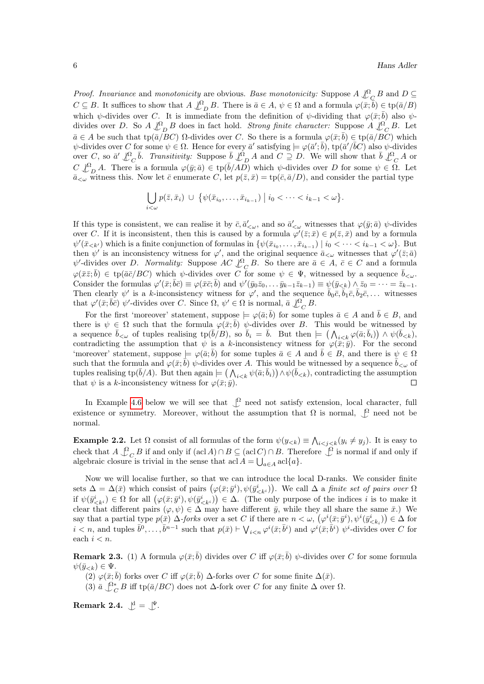*Proof.* Invariance and monotonicity are obvious. Base monotonicity: Suppose  $A \nightharpoonup^{\Omega}_{C} B$  and  $D \subseteq$  $C \subseteq B$ . It suffices to show that  $A \nightharpoonup^{\Omega}_{D} B$ . There is  $\bar{a} \in A$ ,  $\psi \in \Omega$  and a formula  $\varphi(\bar{x}; \bar{b}) \in \text{tp}(\bar{a}/B)$ which  $\psi$ -divides over C. It is immediate from the definition of  $\psi$ -dividing that  $\varphi(\bar{x};\bar{b})$  also  $\psi$ divides over D. So  $A \not\downarrow^{\Omega}_{D} B$  does in fact hold. Strong finite character: Suppose  $A \not\downarrow^{\Omega}_{C} B$ . Let  $\bar{a} \in A$  be such that tp( $\bar{a}/\bar{B}C$ )  $\Omega$ -divides over C. So there is a formula  $\varphi(\bar{x}; \bar{b}) \in \text{tp}(\bar{a}/\bar{B}C)$  which  $\psi$ -divides over C for some  $\psi \in \Omega$ . Hence for every  $\bar{a}'$  satisfying  $\models \varphi(\bar{a}', \bar{b}),$  tp $(\bar{a}'/\bar{b}C)$  also  $\psi$ -divides over C, so  $\bar{a}' \bigcup_{C}^0 \bar{b}$ . Transitivity: Suppose  $\bar{b} \bigcup_{D}^0 A$  and  $C \supseteq D$ . We will show that  $\bar{b} \bigcup_{C}^0 A$  or  $C \nsubseteq_{D}^{\Omega} A$ . There is a formula  $\varphi(\bar{y}; \bar{a}) \in \text{tp}(\bar{b}/A\bar{D})$  which  $\psi$ -divides over D for some  $\psi \in \Omega$ . Let  $\overline{a}_{\leq \omega}$  witness this. Now let  $\overline{c}$  enumerate C, let  $p(\overline{z}, \overline{x}) = \text{tp}(\overline{c}, \overline{a}/D)$ , and consider the partial type

$$
\bigcup_{i<\omega} p(\bar{z}, \bar{x}_i) \ \cup \ \big\{\psi(\bar{x}_{i_0}, \ldots, \bar{x}_{i_{k-1}}) \ \big| \ i_0 < \cdots < i_{k-1} < \omega \big\}.
$$

If this type is consistent, we can realise it by  $\bar{c}, \bar{a}'_{\leq \omega}$ , and so  $\bar{a}'_{\leq \omega}$  witnesses that  $\varphi(\bar{y}; \bar{a})$   $\psi$ -divides over C. If it is inconsistent, then this is caused by a formula  $\varphi'(\bar{z};\bar{x}) \in p(\bar{z},\bar{x})$  and by a formula  $\psi'(\bar{x}_{< k'})$  which is a finite conjunction of formulas in  $\{\psi(\bar{x}_{i_0},\ldots,\bar{x}_{i_{k-1}}) \mid i_0 < \cdots < i_{k-1} < \omega\}$ . But then  $\psi'$  is an inconsistency witness for  $\varphi'$ , and the original sequence  $\bar{a}_{\leq \omega}$  witnesses that  $\varphi'(\bar{z}; \bar{a})$  $\psi'$ -divides over D. Normality: Suppose  $AC \mathcal{L}_C^{\Omega}$ , So there are  $\bar{a} \in A$ ,  $\bar{c} \in C$  and a formula  $\varphi(\bar{x}\bar{z};\bar{b}) \in \text{tp}(\bar{a}\bar{c}/BC)$  which  $\psi$ -divides over C for some  $\psi \in \Psi$ , witnessed by a sequence  $\bar{b}_{\leq \omega}$ . Consider the formulas  $\varphi'(\bar{x}; \bar{b}\bar{c}) \equiv \varphi(\bar{x}\bar{c}; \bar{b})$  and  $\psi'(\bar{y}_0\bar{z}_0, \ldots \bar{y}_{k-1}\bar{z}_{k-1}) \equiv \psi(\bar{y}_{< k}) \wedge \bar{z}_0 = \cdots = \bar{z}_{k-1}$ . Then clearly  $\psi'$  is a k-inconsistency witness for  $\varphi'$ , and the sequence  $\bar{b}_0\bar{c}, \bar{b}_1\bar{c}, \bar{b}_2\bar{c}, \ldots$  witnesses that  $\varphi'(\bar{x}; \bar{b}\bar{c})$   $\psi'$ -divides over C. Since  $\Omega$ ,  $\psi' \in \Omega$  is normal,  $\bar{a} \not\downarrow^{\Omega}_{C} B$ .

For the first 'moreover' statement, suppose  $\models \varphi(\bar{a}; \bar{b})$  for some tuples  $\bar{a} \in A$  and  $\bar{b} \in B$ , and there is  $\psi \in \Omega$  such that the formula  $\varphi(\bar{x}; \bar{b})$   $\psi$ -divides over B. This would be witnessed by a sequence  $\bar{b}_{<\omega}$  of tuples realising tp $(\bar{b}/B)$ , so  $\bar{b}_i = \bar{b}$ . But then  $\models (\bigwedge_{i,$ contradicting the assumption that  $\psi$  is a k-inconsistency witness for  $\varphi(\bar{x}; \bar{y})$ . For the second 'moreover' statement, suppose  $\models \varphi(\bar{a}; \bar{b})$  for some tuples  $\bar{a} \in A$  and  $\bar{b} \in B$ , and there is  $\psi \in \Omega$ such that the formula and  $\varphi(\bar{x}; \bar{b})$   $\psi$ -divides over A. This would be witnessed by a sequence  $\bar{b}_{\leq \omega}$  of tuples realising tp( $\bar{b}/A$ ). But then again  $\models (\bigwedge_{i\leq k}\psi(\bar{a};\bar{b}_i)) \wedge \psi(\bar{b}_{\leq k})$ , contradicting the assumption that  $\psi$  is a k-inconsistency witness for  $\varphi(\bar{x}; \bar{y})$ .  $\Box$ 

In Example [4.6](#page-10-0) below we will see that  $\mathcal{L}$  need not satisfy extension, local character, full existence or symmetry. Moreover, without the assumption that  $\Omega$  is normal,  $\int_{\Omega}$  need not be normal.

**Example 2.2.** Let  $\Omega$  consist of all formulas of the form  $\psi(y_{< k}) \equiv \bigwedge_{i < j < k} (y_i \neq y_j)$ . It is easy to check that  $A \bigcup_{C}^{\Omega} B$  if and only if  $(\text{acl } A) \cap B \subseteq (\text{acl } C) \cap B$ . Therefore  $\bigcup_{C}^{\Omega}$  is normal if and only if algebraic closure is trivial in the sense that  $\operatorname{acl} A = \bigcup_{a \in A} \operatorname{acl}\{a\}.$ 

Now we will localise further, so that we can introduce the local D-ranks. We consider finite sets  $\Delta = \Delta(\bar{x})$  which consist of pairs  $(\varphi(\bar{x}; \bar{y}^i), \psi(\bar{y}^i_{\leq k_i}))$ . We call  $\Delta$  a *finite set of pairs over*  $\Omega$ if  $\psi(\bar{y}_{\leq k}^i) \in \Omega$  for all  $(\varphi(\bar{x}; \bar{y}^i), \psi(\bar{y}_{\leq k}^i)) \in \Delta$ . (The only purpose of the indices i is to make it clear that different pairs  $(\varphi, \psi) \in \Delta$  may have different  $\bar{y}$ , while they all share the same  $\bar{x}$ .) We say that a partial type  $p(\bar{x}) \Delta$ -forks over a set C if there are  $n < \omega$ ,  $(\varphi^i(\bar{x}; \bar{y}^i), \psi^i(\bar{y}^i_{\leq k_i})) \in \Delta$  for  $i < n$ , and tuples  $\bar{b}^0, \ldots, \bar{b}^{n-1}$  such that  $p(\bar{x}) \vdash \bigvee_{i \leq n} \varphi^i(\bar{x}; \bar{b}^i)$  and  $\varphi^i(\bar{x}; \bar{b}^i)$   $\psi^i$ -divides over C for each  $i < n$ .

**Remark 2.3.** (1) A formula  $\varphi(\bar{x}; \bar{b})$  divides over C iff  $\varphi(\bar{x}; \bar{b})$   $\psi$ -divides over C for some formula  $\psi(\bar{y}_{< k}) \in \Psi.$ 

 $(2) \varphi(\bar{x}; \bar{b})$  forks over C iff  $\varphi(\bar{x}; \bar{b})$   $\Delta$ -forks over C for some finite  $\Delta(\bar{x})$ .

(3)  $\bar{a} \bigcup_{C}^{\Omega^*} B$  iff tp( $\bar{a}/BC$ ) does not  $\Delta$ -fork over C for any finite  $\Delta$  over  $\Omega$ .

Remark 2.4.  $\bigcup^d = \bigcup^{\Psi}$ .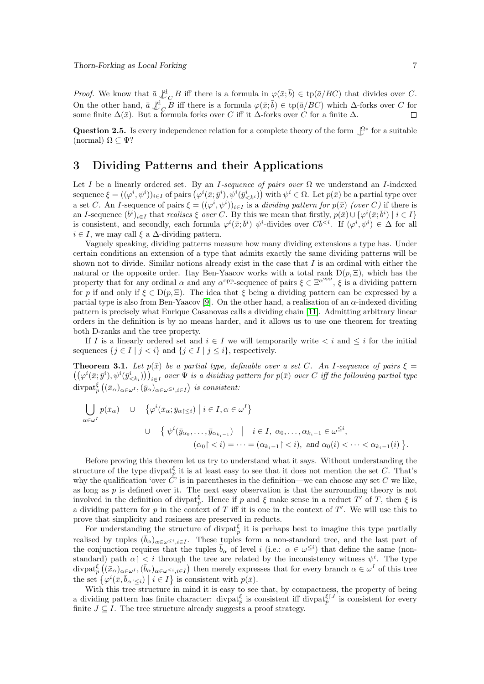*Proof.* We know that  $\bar{a} \not\downarrow^d_C B$  iff there is a formula in  $\varphi(\bar{x}; \bar{b}) \in \text{tp}(\bar{a}/BC)$  that divides over C. On the other hand,  $\bar{a} \not\perp^{\mathbf{d}}_{\mathcal{C}} B$  iff there is a formula  $\varphi(\bar{x}; \bar{b}) \in \text{tp}(\bar{a}/BC)$  which  $\Delta$ -forks over C for some finite  $\Delta(\bar{x})$ . But a formula forks over C iff it  $\Delta$ -forks over C for a finite  $\Delta$ .  $\Box$ 

Question 2.5. Is every independence relation for a complete theory of the form  $\mathcal{Q}^*$  for a suitable (normal)  $\Omega \subset \Psi$ ?

### 3 Dividing Patterns and their Applications

Let I be a linearly ordered set. By an I-sequence of pairs over  $\Omega$  we understand an I-indexed sequence  $\xi = ((\varphi^i, \psi^i))_{i \in I}$  of pairs  $(\varphi^i(\bar{x}; \bar{y}^i), \psi^i(\bar{y}_{\leq k^i}^i))$  with  $\psi^i \in \Omega$ . Let  $p(\bar{x})$  be a partial type over a set C. An I-sequence of pairs  $\xi = ((\varphi^i, \psi^i))_{i \in I}$  is a *dividing pattern for p(x)* (over C) if there is an I-sequence  $(\bar{b}^i)_{i\in I}$  that realises  $\xi$  over C. By this we mean that firstly,  $p(\bar{x})\cup\{\varphi^i(\bar{x};\bar{b}^i) \mid i\in I\}$ is consistent, and secondly, each formula  $\varphi^i(\bar{x}; \bar{b}^i)$   $\psi^i$ -divides over  $C\bar{b}^{. If  $(\varphi^i, \psi^i) \in \Delta$  for all$  $i \in I$ , we may call  $\xi$  a  $\Delta$ -dividing pattern.

Vaguely speaking, dividing patterns measure how many dividing extensions a type has. Under certain conditions an extension of a type that admits exactly the same dividing patterns will be shown not to divide. Similar notions already exist in the case that  $I$  is an ordinal with either the natural or the opposite order. Itay Ben-Yaacov works with a total rank  $D(p, \Xi)$ , which has the property that for any ordinal  $\alpha$  and any  $\alpha^{\text{opp}}$ -sequence of pairs  $\xi \in \Xi^{\alpha^{\text{opp}}}, \xi$  is a dividing pattern for p if and only if  $\xi \in D(p, \Xi)$ . The idea that  $\xi$  being a dividing pattern can be expressed by a partial type is also from Ben-Yaacov [\[9\]](#page-12-8). On the other hand, a realisation of an  $\alpha$ -indexed dividing pattern is precisely what Enrique Casanovas calls a dividing chain [\[11\]](#page-12-9). Admitting arbitrary linear orders in the definition is by no means harder, and it allows us to use one theorem for treating both D-ranks and the tree property.

If I is a linearly ordered set and  $i \in I$  we will temporarily write  $\lt i$  and  $\leq i$  for the initial sequences  $\{j \in I \mid j < i\}$  and  $\{j \in I \mid j \leq i\}$ , respectively.

<span id="page-6-0"></span>**Theorem 3.1.** Let  $p(\bar{x})$  be a partial type, definable over a set C. An I-sequence of pairs  $\xi =$  $((\varphi^i(\bar{x};\bar{y}^i),\psi^i(\bar{y}_{\le k_i}^i)))_{i\in I}$  over  $\Psi$  is a dividing pattern for  $p(\bar{x})$  over C iff the following partial type  $\text{divpat}_p^{\xi}\left((\bar{x}_{\alpha})_{\alpha\in\omega^I},(\bar{y}_{\alpha})_{\alpha\in\omega^{\leq i},i\in I}\right)$  is consistent:

$$
\bigcup_{\alpha \in \omega^{I}} p(\bar{x}_{\alpha}) \quad \cup \quad \left\{ \varphi^{i}(\bar{x}_{\alpha}; \bar{y}_{\alpha \upharpoonright \leq i}) \mid i \in I, \alpha \in \omega^{I} \right\}
$$
\n
$$
\cup \quad \left\{ \psi^{i}(\bar{y}_{\alpha_{0}}, \dots, \bar{y}_{\alpha_{k_{i}-1}}) \mid i \in I, \alpha_{0}, \dots, \alpha_{k_{i}-1} \in \omega^{\leq i},
$$
\n
$$
(\alpha_{0} \mid \leq i) = \dots = (\alpha_{k_{i}-1} \mid \leq i), \text{ and } \alpha_{0}(i) < \dots < \alpha_{k_{i}-1}(i) \right\}.
$$

Before proving this theorem let us try to understand what it says. Without understanding the structure of the type divpat<sub>p</sub> it is at least easy to see that it does not mention the set C. That's why the qualification 'over  $\tilde{C}'$  is in parentheses in the definition—we can choose any set C we like, as long as  $p$  is defined over it. The next easy observation is that the surrounding theory is not involved in the definition of divpat<sub>p</sub>. Hence if p and  $\xi$  make sense in a reduct T' of T, then  $\xi$  is a dividing pattern for p in the context of T iff it is one in the context of  $T'$ . We will use this to prove that simplicity and rosiness are preserved in reducts.

For understanding the structure of divpat<sub>p</sub> it is perhaps best to imagine this type partially realised by tuples  $(\bar{b}_{\alpha})_{\alpha \in \omega \leq i, i \in I}$ . These tuples form a non-standard tree, and the last part of the conjunction requires that the tuples  $\bar{b}_{\alpha}$  of level i (i.e.:  $\alpha \in \omega^{\leq i}$ ) that define the same (nonstandard) path  $\alpha$  |  $\lt i$  through the tree are related by the inconsistency witness  $\psi^i$ . The type  $\text{divpat}_p^{\xi}((\bar{x}_{\alpha})_{\alpha\in\omega^I},(\bar{b}_{\alpha})_{\alpha\in\omega^{\leq i},i\in I})$  then merely expresses that for every branch  $\alpha\in\omega^I$  of this tree the set  $\{\varphi^i(\bar{x}, \bar{b}_{\alpha|\leq i}) \mid i \in I\}$  is consistent with  $p(\bar{x})$ .

With this tree structure in mind it is easy to see that, by compactness, the property of being a dividing pattern has finite character: divpat $_p^{\xi}$  is consistent iff divpat $_p^{\xi|J}$  is consistent for every finite  $J \subseteq I$ . The tree structure already suggests a proof strategy.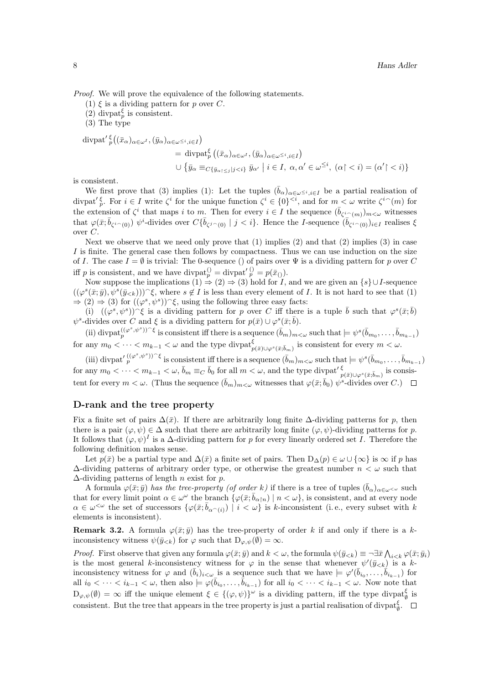Proof. We will prove the equivalence of the following statements.

- (1)  $\xi$  is a dividing pattern for p over C.
- (2) divpat<sup> $\xi$ </sup> is consistent.

(3) The type

$$
\begin{split} \operatorname{divpat}' \, & \nabla^{\xi} \big( (\bar{x}_{\alpha})_{\alpha \in \omega^{I}}, (\bar{y}_{\alpha})_{\alpha \in \omega^{\leq i}, i \in I} \big) \\ &= \operatorname{divpat}_{p}^{\xi} \big( (\bar{x}_{\alpha})_{\alpha \in \omega^{I}}, (\bar{y}_{\alpha})_{\alpha \in \omega^{\leq i}, i \in I} \big) \\ &\cup \{ \bar{y}_{\alpha} \equiv_{C\{ \bar{y}_{\alpha \upharpoonright \leq j} | j < i \}} \bar{y}_{\alpha^{\prime}} \mid i \in I, \ \alpha, \alpha^{\prime} \in \omega^{\leq i}, \ (\alpha \upharpoonright < i) = (\alpha^{\prime} \upharpoonright < i) \} \end{split}
$$

is consistent.

We first prove that (3) implies (1): Let the tuples  $(\bar{b}_{\alpha})_{\alpha \in \omega \leq i, i \in I}$  be a partial realisation of divpat<sup>'</sup> $\zeta$ <sup>*i*</sup>. For  $i \in I$  write  $\zeta^i$  for the unique function  $\zeta^i \in \{0\}^{< i}$ , and for  $m < \omega$  write  $\zeta^{i\sim}(m)$  for the extension of  $\zeta^i$  that maps i to m. Then for every  $i \in I$  the sequence  $(\bar{b}_{\zeta^i(\gamma)}_{\zeta^i(\gamma)}_{\zeta^i(\gamma)}_{\zeta^i(\gamma)}_{\zeta^i(\gamma)}_{\zeta^i(\gamma)}_{\zeta^i(\gamma)}_{\zeta^i(\gamma)}_{\zeta^i(\gamma)}_{\zeta^i(\gamma)}_{\zeta^i(\gamma)}_{\zeta^i(\gamma)}_{\zeta^i(\gamma)}_{\zeta^i(\gamma)}_{\zeta^i(\gamma)}_{\z$ that  $\varphi(\bar{x}; \bar{b}_{\zeta^i(\alpha)})$   $\psi^i$ -divides over  $C\{\bar{b}_{\zeta^j(\alpha)} \mid j < i\}$ . Hence the *I*-sequence  $(\bar{b}_{\zeta^i(\alpha)})_{i \in I}$  realises  $\xi$ over C.

Next we observe that we need only prove that  $(1)$  implies  $(2)$  and that  $(2)$  implies  $(3)$  in case I is finite. The general case then follows by compactness. Thus we can use induction on the size of I. The case  $I = \emptyset$  is trivial: The 0-sequence () of pairs over  $\Psi$  is a dividing pattern for p over C iff p is consistent, and we have divpat $_p^0 = \text{divpat}\, \binom{p}{p} = p(\bar{x}_0)$ .

Now suppose the implications  $(1) \Rightarrow (2) \Rightarrow (3)$  hold for I, and we are given an  $\{s\} \cup I$ -sequence  $((\varphi^{s}(\bar{x};\bar{y}),\psi^{s}(\bar{y}_{< k})))^{\frown}\xi$ , where  $s \notin I$  is less than every element of I. It is not hard to see that (1)  $\Rightarrow$  (2)  $\Rightarrow$  (3) for  $((\varphi^s, \psi^s))^c \xi$ , using the following three easy facts:

(i)  $((\varphi^s, \psi^s))^{\sim} \xi$  is a dividing pattern for p over C iff there is a tuple  $\bar{b}$  such that  $\varphi^s(\bar{x}; \bar{b})$  $\psi^s$ -divides over C and  $\xi$  is a dividing pattern for  $p(\bar{x}) \cup \varphi^s(\bar{x}; \bar{b})$ .

(ii) divpat ${}_{p}^{((\varphi^{s},\psi^{s}))\widehat{\ }}$  is consistent iff there is a sequence  $(\bar{b}_{m})_{m<\omega}$  such that  $\models \psi^{s}(\bar{b}_{m_{0}},\ldots,\bar{b}_{m_{k-1}})$ for any  $m_0 < \cdots < m_{k-1} < \omega$  and the type  $\text{divpat}_{p(\bar{x})\cup\varphi^s(\bar{x};\bar{b}_m)}^{\xi}$  is consistent for every  $m < \omega$ .

(iii) divpat<sup>'</sup> $\int_{p}^{((\varphi^s, \psi^s))^{\frown}\xi}$  is consistent iff there is a sequence  $(\bar{b}_m)_{m<\omega}$  such that  $\models \psi^s(\bar{b}_{m_0}, \ldots, \bar{b}_{m_{k-1}})$  $\text{for any } m_0 < \cdots < m_{k-1} < \omega, \, \bar{b}_m \equiv_C \bar{b}_0 \text{ for all } m < \omega, \text{ and the type } \text{divpat}' \frac{\xi}{p(\bar{x}) \cup \varphi^s(\bar{x}; \bar{b}_m)} \text{ is consist-}$ tent for every  $m < \omega$ . (Thus the sequence  $(\bar{b}_m)_{m<\omega}$  witnesses that  $\varphi(\bar{x}; \bar{b}_0)$   $\psi^s$ -divides over C.)

#### D-rank and the tree property

Fix a finite set of pairs  $\Delta(\bar{x})$ . If there are arbitrarily long finite  $\Delta$ -dividing patterns for p, then there is a pair  $(\varphi, \psi) \in \Delta$  such that there are arbitrarily long finite  $(\varphi, \psi)$ -dividing patterns for p. It follows that  $(\varphi, \psi)^I$  is a  $\Delta$ -dividing pattern for p for every linearly ordered set I. Therefore the following definition makes sense.

Let  $p(\bar{x})$  be a partial type and  $\Delta(\bar{x})$  a finite set of pairs. Then  $D_{\Delta}(p) \in \omega \cup \{\infty\}$  is  $\infty$  if p has  $\Delta$ -dividing patterns of arbitrary order type, or otherwise the greatest number  $n < \omega$  such that  $\Delta$ -dividing patterns of length *n* exist for *p*.

A formula  $\varphi(\bar{x}; \bar{y})$  has the tree-property (of order k) if there is a tree of tuples  $(\bar{b}_{\alpha})_{\alpha \in \omega < \omega}$  such that for every limit point  $\alpha \in \omega^{\omega}$  the branch  $\{\varphi(\bar{x}; \bar{b}_{\alpha|n}) \mid n < \omega\}$ , is consistent, and at every node  $\alpha \in \omega^{\leq \omega}$  the set of successors  $\{\varphi(\bar{x}; \bar{b}_{\alpha^{\leq}(i)}) \mid i \leq \omega\}$  is k-inconsistent (i.e., every subset with k elements is inconsistent).

**Remark 3.2.** A formula  $\varphi(\bar{x}; \bar{y})$  has the tree-property of order k if and only if there is a kinconsistency witness  $\psi(\bar{y}_{< k})$  for  $\varphi$  such that  $D_{\varphi, \psi}(\emptyset) = \infty$ .

*Proof.* First observe that given any formula  $\varphi(\bar{x}; \bar{y})$  and  $k < \omega$ , the formula  $\psi(\bar{y}_{< k}) \equiv \neg \exists \bar{x} \bigwedge_{i < k} \varphi(\bar{x}; \bar{y}_i)$ is the most general k-inconsistency witness for  $\varphi$  in the sense that whenever  $\psi'(\bar{y}_{< k})$  is a kinconsistency witness for  $\varphi$  and  $(\bar{b}_i)_{i<\omega}$  is a sequence such that we have  $\models \varphi'(\bar{b}_{i_0}, \ldots, \bar{b}_{i_{k-1}})$  for all  $i_0 < \cdots < i_{k-1} < \omega$ , then also  $\models \varphi(\bar{b}_{i_0}, \ldots, \bar{b}_{i_{k-1}})$  for all  $i_0 < \cdots < i_{k-1} < \omega$ . Now note that  $D_{\varphi,\psi}(\emptyset) = \infty$  iff the unique element  $\xi \in \{(\varphi,\psi)\}^{\omega}$  is a dividing pattern, iff the type divpat $\zeta$  is consistent. But the tree that appears in the tree property is just a partial realisation of divpat $\frac{\xi}{\theta}$ .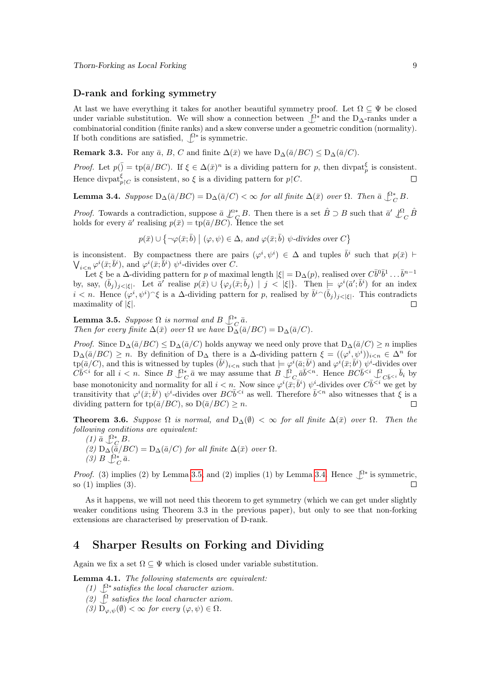#### D-rank and forking symmetry

At last we have everything it takes for another beautiful symmetry proof. Let  $\Omega \subseteq \Psi$  be closed under variable substitution. We will show a connection between  $\mathcal{L}^*$  and the D<sub>∆</sub>-ranks under a combinatorial condition (finite ranks) and a skew converse under a geometric condition (normality). If both conditions are satisfied,  $\int_{0}^{2*}$  is symmetric.

**Remark 3.3.** For any  $\bar{a}$ , B, C and finite  $\Delta(\bar{x})$  we have  $D_{\Delta}(\bar{a}/BC) \leq D_{\Delta}(\bar{a}/C)$ .

*Proof.* Let  $p(\bar{z}) = \text{tp}(\bar{a}/BC)$ . If  $\xi \in \Delta(\bar{x})^n$  is a dividing pattern for p, then divpat $\frac{\xi}{p}$  is consistent. Hence divpat $\oint_{p\upharpoonright C}$  is consistent, so  $\xi$  is a dividing pattern for  $p\upharpoonright C$ .  $\Box$ 

<span id="page-8-1"></span>**Lemma 3.4.** Suppose  $D_{\Delta}(\bar{a}/BC) = D_{\Delta}(\bar{a}/C) < \infty$  for all finite  $\Delta(\bar{x})$  over  $\Omega$ . Then  $\bar{a} \bigcup_{C}^{2*} B$ .

*Proof.* Towards a contradiction, suppose  $\bar{a} \nightharpoonup^{\Omega^*}_{C} B$ . Then there is a set  $\hat{B} \supset B$  such that  $\bar{a}' \nightharpoonup^{\Omega}_{C} \hat{B}$ holds for every  $\bar{a}'$  realising  $p(\bar{x}) = \text{tp}(\bar{a}/BC)$ . Hence the set

$$
p(\bar{x}) \cup \{ \neg \varphi(\bar{x}; \bar{b}) \mid (\varphi, \psi) \in \Delta, \text{ and } \varphi(\bar{x}; \bar{b}) \psi\text{-divides over } C \}
$$

is inconsistent. By compactness there are pairs  $(\varphi^i, \psi^i) \in \Delta$  and tuples  $\bar{b}^i$  such that  $p(\bar{x})$   $\vdash$  $\bigvee_{i\leq n}\varphi^i(\bar{x};\bar{b}^i)$ , and  $\varphi^i(\bar{x};\bar{b}^i)\psi^i$ -divides over C.

Let  $\xi$  be a  $\Delta$ -dividing pattern for p of maximal length  $|\xi| = D_{\Delta}(p)$ , realised over  $C\overline{b}^0\overline{b}^1 \dots \overline{b}^{n-1}$ by, say,  $(\bar{b}_j)_{j<|\xi|}$ . Let  $\bar{a}'$  realise  $p(\bar{x}) \cup \{ \varphi_j(\bar{x}; \bar{b}_j) \mid j < |\xi| \}$ . Then  $\models \varphi^i(\bar{a}'; \bar{b}^i)$  for an index  $i < n$ . Hence  $(\varphi^i, \psi^i)$   $\xi$  is a  $\Delta$ -dividing pattern for p, realised by  $\bar{b}^i$   $(\bar{b}_j)_{j \leq |\xi|}$ . This contradicts maximality of  $|\xi|$ .  $\Box$ 

<span id="page-8-0"></span>**Lemma 3.5.** Suppose  $\Omega$  is normal and  $B \bigcup_{\alpha}^{\Omega^*} \bar{a}$ . Then for every finite  $\Delta(\bar{x})$  over  $\Omega$  we have  $D_{\Delta}(\bar{a}/BC) = D_{\Delta}(\bar{a}/C)$ .

*Proof.* Since  $D_{\Delta}(\bar{a}/BC) \leq D_{\Delta}(\bar{a}/C)$  holds anyway we need only prove that  $D_{\Delta}(\bar{a}/C) \geq n$  implies  $D_{\Delta}(\bar{a}/BC) \geq n$ . By definition of  $D_{\Delta}$  there is a  $\Delta$ -dividing pattern  $\xi = ((\varphi^i, \psi^i))_{i \leq n} \in \Delta^n$  for  $\text{tp}(\bar{a}/C)$ , and this is witnessed by tuples  $(\bar{b}^i)_{i \leq n}$  such that  $\models \varphi^i(\bar{a}; \bar{b}^i)$  and  $\varphi^i(\bar{x}; \bar{b}^i)$   $\psi^i$ -divides over  $C\overline{b}^{&i}$  for all  $i < n$ . Since  $B \bigcup_{C}^{0*} \overline{a}$  we may assume that  $B \bigcup_{C}^{0} \overline{a} \overline{b}^{&i}$ . Hence  $BC\overline{b}^{&i} \bigcup_{C}^{0} \overline{b}^{&i}$  by base monotonicity and normality for all  $i < n$ . Now since  $\varphi^i(\bar{x}; \bar{b}^i)$   $\psi^i$ -divides over  $C\bar{b}^{ we get by$ transitivity that  $\varphi^i(\bar{x}; \bar{b}^i)$   $\psi^i$ -divides over  $BC\bar{b}^{*i}*$  as well. Therefore  $\bar{b}^{ also witnesses that  $\xi$  is a$ dividing pattern for tp( $\bar{a}/BC$ ), so  $D(\bar{a}/BC) \geq n$ .  $\Box$ 

<span id="page-8-3"></span>**Theorem 3.6.** Suppose  $\Omega$  is normal, and  $D_{\Delta}(\emptyset) < \infty$  for all finite  $\Delta(\bar{x})$  over  $\Omega$ . Then the following conditions are equivalent:

 $(1) \bar{a} \bigcup_{C}^{\Omega^*} B.$ (2)  $D_{\Delta}(\bar{a}/BC) = D_{\Delta}(\bar{a}/C)$  for all finite  $\Delta(\bar{x})$  over  $\Omega$ . (3)  $B \bigcup_{C}^{\Omega^*} \bar{a}.$ 

*Proof.* (3) implies (2) by Lemma [3.5,](#page-8-0) and (2) implies (1) by Lemma [3.4.](#page-8-1) Hence  $\mathcal{Q}^*$  is symmetric, so (1) implies (3).  $\Box$ 

As it happens, we will not need this theorem to get symmetry (which we can get under slightly weaker conditions using Theorem 3.3 in the previous paper), but only to see that non-forking extensions are characterised by preservation of D-rank.

## 4 Sharper Results on Forking and Dividing

Again we fix a set  $\Omega \subseteq \Psi$  which is closed under variable substitution.

<span id="page-8-2"></span>Lemma 4.1. The following statements are equivalent:

- (1)  $\mathcal{Q}^*$  satisfies the local character axiom.
- $(2)$   $\mathcal{L}$  satisfies the local character axiom.

(3)  $D_{\varphi,\psi}(\emptyset) < \infty$  for every  $(\varphi,\psi) \in \Omega$ .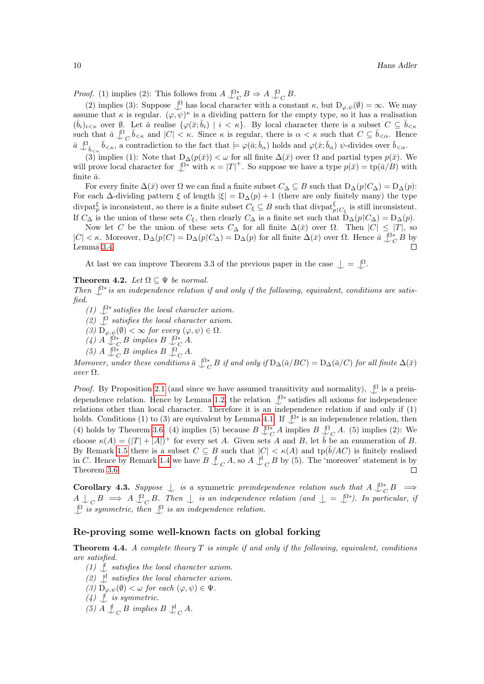*Proof.* (1) implies (2): This follows from  $A \bigcup_{C}^{\infty} B \Rightarrow A \bigcup_{C}^{\infty} B$ .

(2) implies (3): Suppose  $\bigcup_{\alpha=0}^{\infty}$  has local character with a constant  $\kappa$ , but  $D_{\varphi,\psi}(\emptyset) = \infty$ . We may assume that  $\kappa$  is regular.  $(\varphi, \psi)^{\kappa}$  is a dividing pattern for the empty type, so it has a realisation  $(\bar{b}_i)_{i \leq \kappa}$  over  $\emptyset$ . Let  $\bar{a}$  realise  $\{\varphi(\bar{x}; \bar{b}_i) \mid i \leq \kappa\}$ . By local character there is a subset  $C \subseteq \bar{b}_{\leq \kappa}$ such that  $\bar{a} \bigcup_{C}^0 \bar{b}_{< \kappa}$  and  $|C| < \kappa$ . Since  $\kappa$  is regular, there is  $\alpha < \kappa$  such that  $C \subseteq \bar{b}_{< \alpha}$ . Hence  $\bar{a} \bigcup_{\bar{b}_{\leq \alpha}} \bar{b}_{\leq \kappa}$ , a contradiction to the fact that  $\models \varphi(\bar{a}; \bar{b}_{\alpha})$  holds and  $\varphi(\bar{x}; \bar{b}_{\alpha})$   $\psi$ -divides over  $\bar{b}_{\leq \alpha}$ .

(3) implies (1): Note that  $D_{\Delta}(p(\bar{x})) < \omega$  for all finite  $\Delta(\bar{x})$  over  $\Omega$  and partial types  $p(\bar{x})$ . We will prove local character for  $\mathcal{L}^*$  with  $\kappa = |T|^+$ . So suppose we have a type  $p(\bar{x}) = \text{tp}(\bar{a}/B)$  with finite  $\bar{a}$ .

For every finite  $\Delta(\bar{x})$  over  $\Omega$  we can find a finite subset  $C_{\Delta} \subseteq B$  such that  $D_{\Delta}(p \upharpoonright C_{\Delta}) = D_{\Delta}(p)$ : For each  $\Delta$ -dividing pattern  $\xi$  of length  $|\xi| = D_{\Delta}(p) + 1$  (there are only finitely many) the type divpat<sup> $\xi$ </sup> is inconsistent, so there is a finite subset  $C_{\xi} \subseteq B$  such that divpat ${}_{p\upharpoonright C_{\xi}}^{\xi}$  is still inconsistent. If  $C_{\Delta}$  is the union of these sets  $C_{\xi}$ , then clearly  $C_{\Delta}$  is a finite set such that  $D_{\Delta}(p\upharpoonright C_{\Delta})=D_{\Delta}(p)$ .

Now let C be the union of these sets  $C_{\Delta}$  for all finite  $\Delta(\bar{x})$  over  $\Omega$ . Then  $|C| \leq |T|$ , so  $|C| < \kappa$ . Moreover,  $D_{\Delta}(p|C) = D_{\Delta}(p|C_{\Delta}) = D_{\Delta}(p)$  for all finite  $\Delta(\bar{x})$  over  $\Omega$ . Hence  $\bar{a} \bigcup_{C}^{\infty} B$  by Lemma [3.4.](#page-8-1)

At last we can improve Theorem 3.3 of the previous paper in the case  $\bigcup = \bigcup$ .

#### <span id="page-9-0"></span>Theorem 4.2. Let  $\Omega \subset \Psi$  be normal.

Then  $\mathcal{Q}^*$  is an independence relation if and only if the following, equivalent, conditions are satisfied.

- (1)  $\int_{0}^{\Omega*} satisfies the local character axiom.$
- (2)  $\mathcal{Q}$  satisfies the local character axiom.
- (3)  $D_{\varphi,\psi}(\emptyset) < \infty$  for every  $(\varphi,\psi) \in \Omega$ .
- (4)  $A \bigcup_C^{\Omega^*} B$  implies  $B \bigcup_C^{\Omega^*} A$ .
- (5)  $A \bigcup_C^{\Omega^*} B \implies B \bigcup_C^{\Omega} A$ .

Moreover, under these conditions  $\bar{a} \bigcup_{C}^* B$  if and only if  $D_{\Delta}(\bar{a}/BC) = D_{\Delta}(\bar{a}/C)$  for all finite  $\Delta(\bar{x})$ over Ω.

*Proof.* By Proposition [2.1](#page-4-0) (and since we have assumed transitivity and normality),  $\int_{0}^{\Omega}$  is a prein-dependence relation. Hence by Lemma [1.2,](#page-2-0) the relation  $\mathcal{L}^*$  satisfies all axioms for independence relations other than local character. Therefore it is an independence relation if and only if (1) holds. Conditions (1) to (3) are equivalent by Lemma [4.1.](#page-8-2) If  $\mathcal{L}^*$  is an independence relation, then (4) holds by Theorem [3.6.](#page-8-3) (4) implies (5) because  $B \bigcup_{C}^{\Omega^*} A$  implies  $B \bigcup_{C}^{\Omega} A$ . (5) implies (2): We choose  $\kappa(A) = (|T| + |A|)^+$  for every set A. Given sets A and B, let  $\bar{b}$  be an enumeration of B. By Remark [1.5](#page-3-1) there is a subset  $C \subseteq B$  such that  $|C| < \kappa(A)$  and  $tp(\bar{b}/AC)$  is finitely realised in C. Hence by Remark [1.4](#page-3-2) we have  $B \nightharpoonup_C A$ , so  $A \nightharpoonup_C B$  by (5). The 'moreover' statement is by Theorem [3.6.](#page-8-3)  $\Box$ 

<span id="page-9-2"></span>Corollary 4.3. Suppose  $\perp$  is a symmetric preindependence relation such that  $A \perp_C^{\Omega^*} B \implies$  $A \bigcup_C B \implies A \bigcup_C^{\Omega} B$ . Then  $\bigcup$  is an independence relation (and  $\bigcup = \bigcup^{n*}$ ). In particular, if  $\mathcal{L}$  is symmetric, then  $\mathcal{L}$  is an independence relation.

#### Re-proving some well-known facts on global forking

<span id="page-9-1"></span>**Theorem 4.4.** A complete theory  $T$  is simple if and only if the following, equivalent, conditions are satisfied.

- (1)  $\bigcup$  satisfies the local character axiom.
- (2)  $\bigcup_{n=0}^{\infty}$  satisfies the local character axiom.
- (3)  $D_{\varphi,\psi}(\emptyset) < \omega$  for each  $(\varphi,\psi) \in \Psi$ .

 $(4)$   $\downarrow$  is symmetric.

(5)  $A \nightharpoonup_C B$  implies  $B \nightharpoonup_C A$ .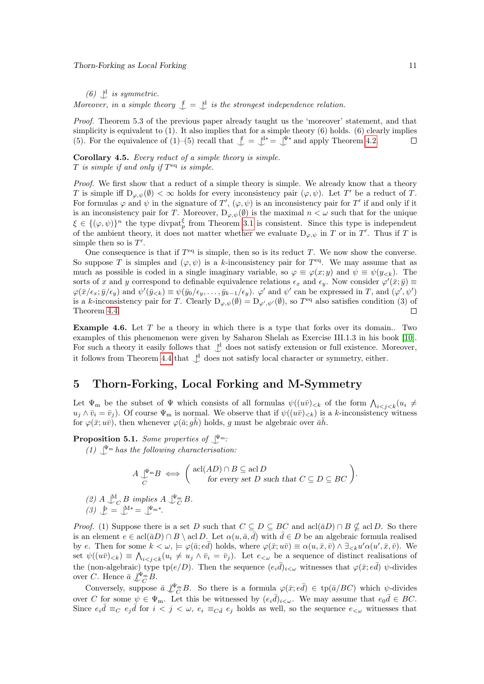#### Thorn-Forking as Local Forking 11

(6)  $\bigcup$ <sup>d</sup> is symmetric.

Moreover, in a simple theory  $\mathcal{L} = \mathcal{L}$  is the strongest independence relation.

Proof. Theorem 5.3 of the previous paper already taught us the 'moreover' statement, and that simplicity is equivalent to  $(1)$ . It also implies that for a simple theory  $(6)$  holds.  $(6)$  clearly implies (5). For the equivalence of (1)–(5) recall that  $\mathcal{L} = \mathcal{L}^* = \mathcal{L}^*$  and apply Theorem [4.2.](#page-9-0)  $\Box$ 

<span id="page-10-2"></span>Corollary 4.5. Every reduct of a simple theory is simple.  $T$  is simple if and only if  $T^{eq}$  is simple.

Proof. We first show that a reduct of a simple theory is simple. We already know that a theory T is simple iff  $D_{\varphi,\psi}(\emptyset) < \infty$  holds for every inconsistency pair  $(\varphi,\psi)$ . Let T' be a reduct of T. For formulas  $\varphi$  and  $\psi$  in the signature of T',  $(\varphi, \psi)$  is an inconsistency pair for T' if and only if it is an inconsistency pair for T. Moreover,  $D_{\varphi,\psi}(\emptyset)$  is the maximal  $n < \omega$  such that for the unique  $\xi \in \{(\varphi, \psi)\}^n$  the type divpat<sup> $\xi$ </sup> from Theorem [3.1](#page-6-0) is consistent. Since this type is independent of the ambient theory, it does not matter whether we evaluate  $D_{\varphi,\psi}$  in T or in T'. Thus if T is simple then so is  $T'$ .

One consequence is that if  $T<sup>eq</sup>$  is simple, then so is its reduct T. We now show the converse. So suppose T is simples and  $(\varphi, \psi)$  is a k-inconsistency pair for  $T^{eq}$ . We may assume that as much as possible is coded in a single imaginary variable, so  $\varphi \equiv \varphi(x; y)$  and  $\psi \equiv \psi(y_{< k})$ . The sorts of x and y correspond to definable equivalence relations  $\epsilon_x$  and  $\epsilon_y$ . Now consider  $\varphi'(\bar{x}; \bar{y}) \equiv$  $\varphi(\bar{x}/\epsilon_x;\bar{y}/\epsilon_y)$  and  $\psi'(\bar{y}_{< k}) \equiv \psi(\bar{y}_0/\epsilon_y,\ldots,\bar{y}_{k-1}/\epsilon_y)$ .  $\varphi'$  and  $\psi'$  can be expressed in T, and  $(\varphi',\psi')$ is a k-inconsistency pair for T. Clearly  $D_{\varphi,\psi}(\emptyset) = D_{\varphi',\psi'}(\emptyset)$ , so  $T^{eq}$  also satisfies condition (3) of  $\Box$ Theorem [4.4.](#page-9-1)

<span id="page-10-0"></span>Example 4.6. Let T be a theory in which there is a type that forks over its domain. Two examples of this phenomenon were given by Saharon Shelah as Exercise III.1.3 in his book [\[10\]](#page-12-10). For such a theory it easily follows that  $\bigcup$ <sup>1</sup> does not satisfy extension or full existence. Moreover, it follows from Theorem [4.4](#page-9-1) that  $\mathcal{L}^d$  does not satisfy local character or symmetry, either.

### 5 Thorn-Forking, Local Forking and M-Symmetry

Let  $\Psi_{\rm m}$  be the subset of  $\Psi$  which consists of all formulas  $\psi((u\bar{v})_{< k})$  of the form  $\bigwedge_{i < j < k} (u_i \neq$  $u_i \wedge \bar{v}_i = \bar{v}_i$ ). Of course  $\Psi_m$  is normal. We observe that if  $\psi((u\bar{v})_{\leq k})$  is a k-inconsistency witness for  $\varphi(\bar{x}; u\bar{v})$ , then whenever  $\varphi(\bar{a}; g\bar{h})$  holds, g must be algebraic over  $\bar{a}\bar{h}$ .

<span id="page-10-1"></span>**Proposition 5.1.** Some properties of  $\mathcal{L}^{\mathbf{m}}$ .

(1)  $\mathcal{L}^{\mathbf{F}_{\mathbf{m}}}$  has the following characterisation:

$$
A \underset{C}{\downarrow^{\Psi_{\mathfrak{m}}}} B \iff \begin{pmatrix} \text{acl}(AD) \cap B \subseteq \text{acl } D \\ \text{for every set } D \text{ such that } C \subseteq D \subseteq BC \end{pmatrix}.
$$

- (2)  $A \bigcup_{C}^{M} B$  implies  $A \bigcup_{C}^{\Psi_{\mathfrak{m}}} B$ .
- (3)  $\mathcal{L} = \mathcal{L}^{M*} = \mathcal{L}^{\Psi_m *}$ .

*Proof.* (1) Suppose there is a set D such that  $C \subseteq D \subseteq BC$  and  $\text{acl}(\bar{a}D) \cap B \nsubseteq \text{acl}D$ . So there is an element  $e \in \text{acl}(\bar{a}D) \cap B \setminus \text{acl}D$ . Let  $\alpha(u, \bar{a}, \bar{d})$  with  $\bar{d} \in D$  be an algebraic formula realised by e. Then for some  $k < \omega, \models \varphi(\bar{a}; e\bar{d})$  holds, where  $\varphi(\bar{x}; u\bar{v}) \equiv \alpha(u, \bar{x}, \bar{v}) \wedge \exists_{\leq k} u' \alpha(u', \bar{x}, \bar{v})$ . We set  $\psi((u\bar{v})_{< k}) \equiv \bigwedge_{i < j < k} (u_i \neq u_j \wedge \bar{v}_i = \bar{v}_j).$  Let  $e_{< \omega}$  be a sequence of distinct realisations of the (non-algebraic) type tp( $e/D$ ). Then the sequence  $(e_i\bar{d})_{i\leq\omega}$  witnesses that  $\varphi(\bar{x}; e\bar{d})$   $\psi$ -divides over C. Hence  $\bar{a} \int_{C}^{\Psi_{\text{m}}} B$ .

Conversely, suppose  $\bar{a} \perp^{\Psi_m}_C B$ . So there is a formula  $\varphi(\bar{x}; e\bar{d}) \in \text{tp}(\bar{a}/BC)$  which  $\psi$ -divides over C for some  $\psi \in \Psi_{\text{m}}$ . Let this be witnessed by  $(e_i\bar{d})_{i\lt\omega}$ . We may assume that  $e_0\bar{d} \in BC$ . Since  $e_i\bar{d} \equiv_C e_j\bar{d}$  for  $i < j < \omega$ ,  $e_i \equiv_{C\bar{d}} e_j$  holds as well, so the sequence  $e_{\leq \omega}$  witnesses that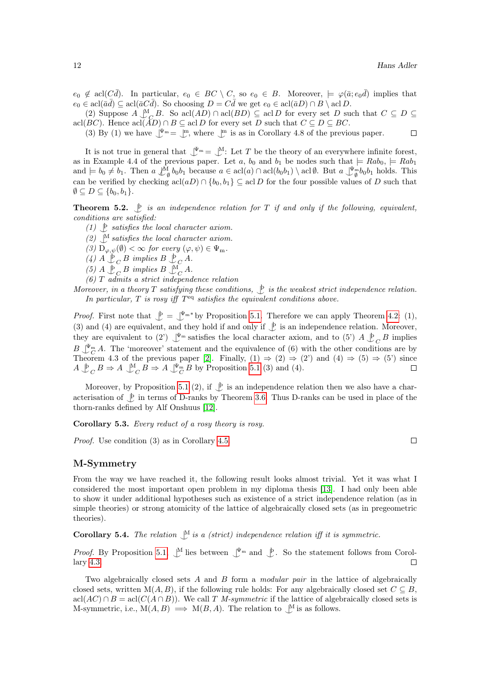$\Box$ 

 $e_0 \notin \text{acl}(C\overline{d})$ . In particular,  $e_0 \in BC \setminus C$ , so  $e_0 \in B$ . Moreover,  $\models \varphi(\overline{a}; e_0\overline{d})$  implies that  $e_0 \in \text{acl}(\bar{a}\bar{d}) \subseteq \text{acl}(\bar{a}C\bar{d})$ . So choosing  $D = C\bar{d}$  we get  $e_0 \in \text{acl}(\bar{a}D) \cap B \setminus \text{acl}D$ .

(2) Suppose  $A \underset{C \subseteq D}{\mathbb{M}}$ . So acl $(AD) \cap$  acl $(BD) \subseteq$  acl D for every set D such that  $C \subseteq D \subseteq$ acl $(BC)$ . Hence acl $(AD) \cap B \subseteq \text{acl}D$  for every set D such that  $C \subseteq D \subseteq BC$ .

(3) By (1) we have  $\mathcal{L}^{\Psi_m} = \mathcal{L}^m$ , where  $\mathcal{L}^m$  is as in Corollary 4.8 of the previous paper.

It is not true in general that  $\mathbb{I}^{\Psi_m} = \mathbb{I}^M$ : Let T be the theory of an everywhere infinite forest, as in Example 4.4 of the previous paper. Let a,  $b_0$  and  $b_1$  be nodes such that  $\models Rab_0, \models Rab_1$ and  $\models b_0 \neq b_1$ . Then  $a \nightharpoonup^M_\emptyset b_0 b_1$  because  $a \in \text{acl}(a) \cap \text{acl}(b_0 b_1) \setminus \text{acl}\emptyset$ . But  $a \nightharpoonup^{\Psi_m}_\emptyset b_0 b_1$  holds. This can be verified by checking  $\operatorname{acl}(aD) \cap \{b_0, b_1\} \subseteq \operatorname{acl}D$  for the four possible values of D such that  $\emptyset \subseteq D \subseteq \{b_0, b_1\}.$ 

**Theorem 5.2.**  $\downarrow$  is an independence relation for T if and only if the following, equivalent, conditions are satisfied:

- (1)  $\bigcup_{i=1}^{\infty}$  satisfies the local character axiom.
- (2)  $\mathcal{N}$  satisfies the local character axiom.
- (3)  $D_{\varphi,\psi}(\emptyset) < \infty$  for every  $(\varphi,\psi) \in \Psi_m$ .
- (4)  $A \not\perp_C B$  implies  $B \not\perp_C A$ .
- (5)  $A \not\perp_C B$  implies  $B \not\perp_C^{\mathcal{M}} A$ .

(6) T admits a strict independence relation

Moreover, in a theory T satisfying these conditions,  $\mathcal{L}$  is the weakest strict independence relation. In particular,  $T$  is rosy iff  $T<sup>eq</sup>$  satisfies the equivalent conditions above.

*Proof.* First note that  $\mathcal{L} = \mathcal{L}^{\Psi_m*}$  by Proposition [5.1.](#page-10-1) Therefore we can apply Theorem [4.2:](#page-9-0) (1), (3) and (4) are equivalent, and they hold if and only if  $\mathcal{L}$  is an independence relation. Moreover, they are equivalent to (2')  $\mathcal{Y}^{\mathbf{m}}$  satisfies the local character axiom, and to (5')  $A \mathcal{Y}_C B$  implies  $B \downarrow^{\Psi_m} A$ . The 'moreover' statement and the equivalence of (6) with the other conditions are by  $E \downarrow_{C} C^{11}$ . The instead is statement and the equivalence of (5) with the center conditions are symplection.<br>Theorem 4.3 of the previous paper [\[2\]](#page-12-1). Finally,  $(1) \Rightarrow (2) \Rightarrow (2')$  and  $(4) \Rightarrow (5) \Rightarrow (5')$  since  $A \bigcup_C^{\mathfrak{b}} B \Rightarrow A \bigcup_C^{\mathfrak{M}} B \Rightarrow A \bigcup_C^{\Psi_m} B$  by Proposition [5.1](#page-10-1) (3) and (4).

Moreover, by Proposition [5.1](#page-10-1) (2), if  $\mathcal{L}$  is an independence relation then we also have a characterisation of  $\oint$  in terms of D-ranks by Theorem [3.6.](#page-8-3) Thus D-ranks can be used in place of the thorn-ranks defined by Alf Onshuus [\[12\]](#page-13-0).

Corollary 5.3. Every reduct of a rosy theory is rosy.

Proof. Use condition (3) as in Corollary [4.5.](#page-10-2)

#### M-Symmetry

From the way we have reached it, the following result looks almost trivial. Yet it was what I considered the most important open problem in my diploma thesis [\[13\]](#page-13-1). I had only been able to show it under additional hypotheses such as existence of a strict independence relation (as in simple theories) or strong atomicity of the lattice of algebraically closed sets (as in pregeometric theories).

**Corollary 5.4.** The relation  $\bigcup_{i=1}^{M}$  is a (strict) independence relation iff it is symmetric.

*Proof.* By Proposition [5.1,](#page-10-1)  $\mathcal{N}$  lies between  $\mathcal{N}^{\mathbb{F}_{m}}$  and  $\mathcal{N}$ . So the statement follows from Corollary [4.3.](#page-9-2)  $\Box$ 

Two algebraically closed sets A and B form a modular pair in the lattice of algebraically closed sets, written  $M(A, B)$ , if the following rule holds: For any algebraically closed set  $C \subseteq B$ ,  $\operatorname{acl}(AC) \cap B = \operatorname{acl}(C(A \cap B)).$  We call T M-symmetric if the lattice of algebraically closed sets is M-symmetric, i.e.,  $M(A, B) \implies M(B, A)$ . The relation to  $\bigcup^M$  is as follows.

 $\Box$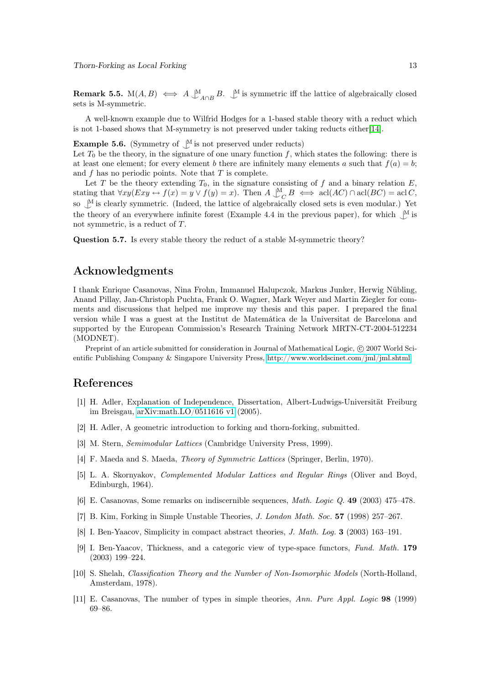**Remark 5.5.** M $(A, B) \iff A \bigcup_{A \cap B}^M B$ .  $\bigcup_{A}^M$  is symmetric iff the lattice of algebraically closed sets is M-symmetric.

A well-known example due to Wilfrid Hodges for a 1-based stable theory with a reduct which is not 1-based shows that M-symmetry is not preserved under taking reducts either[\[14\]](#page-13-2).

**Example 5.6.** (Symmetry of  $\bigcup^M$  is not preserved under reducts)

Let  $T_0$  be the theory, in the signature of one unary function f, which states the following: there is at least one element; for every element b there are infinitely many elements a such that  $f(a) = b$ ; and  $f$  has no periodic points. Note that  $T$  is complete.

Let T be the theory extending  $T_0$ , in the signature consisting of f and a binary relation E, stating that  $\forall xy (Exy \leftrightarrow f(x) = y \lor f(y) = x)$ . Then  $A \bigcup_{C}^{M} B \iff \text{acl}(AC) \cap \text{acl}(BC) = \text{acl}(C)$ , so  $\mathcal{M}$  is clearly symmetric. (Indeed, the lattice of algebraically closed sets is even modular.) Yet the theory of an everywhere infinite forest (Example 4.4 in the previous paper), for which  $\mathcal{N}$  is not symmetric, is a reduct of T.

Question 5.7. Is every stable theory the reduct of a stable M-symmetric theory?

## Acknowledgments

I thank Enrique Casanovas, Nina Frohn, Immanuel Halupczok, Markus Junker, Herwig Nübling, Anand Pillay, Jan-Christoph Puchta, Frank O. Wagner, Mark Weyer and Martin Ziegler for comments and discussions that helped me improve my thesis and this paper. I prepared the final version while I was a guest at the Institut de Matemática de la Universitat de Barcelona and supported by the European Commission's Research Training Network MRTN-CT-2004-512234 (MODNET).

Preprint of an article submitted for consideration in Journal of Mathematical Logic, © 2007 World Scientific Publishing Company & Singapore University Press, [http://www.worldscinet.com/jml/jml.shtml.](http://www.worldscinet.com/jml/jml.shtml)

#### References

- <span id="page-12-0"></span>[1] H. Adler, Explanation of Independence, Dissertation, Albert-Ludwigs-Universität Freiburg im Breisgau, [arXiv:math.LO/0511616 v1](http://www.arxiv.org/abs/math.LO/0511616) (2005).
- <span id="page-12-1"></span>[2] H. Adler, A geometric introduction to forking and thorn-forking, submitted.
- <span id="page-12-2"></span>[3] M. Stern, Semimodular Lattices (Cambridge University Press, 1999).
- <span id="page-12-3"></span>[4] F. Maeda and S. Maeda, *Theory of Symmetric Lattices* (Springer, Berlin, 1970).
- <span id="page-12-4"></span>[5] L. A. Skornyakov, Complemented Modular Lattices and Regular Rings (Oliver and Boyd, Edinburgh, 1964).
- <span id="page-12-5"></span>[6] E. Casanovas, Some remarks on indiscernible sequences, Math. Logic Q. 49 (2003) 475–478.
- <span id="page-12-6"></span>[7] B. Kim, Forking in Simple Unstable Theories, J. London Math. Soc. 57 (1998) 257–267.
- <span id="page-12-7"></span>[8] I. Ben-Yaacov, Simplicity in compact abstract theories, J. Math. Log. 3 (2003) 163–191.
- <span id="page-12-8"></span>[9] I. Ben-Yaacov, Thickness, and a categoric view of type-space functors, Fund. Math. 179 (2003) 199–224.
- <span id="page-12-10"></span>[10] S. Shelah, Classification Theory and the Number of Non-Isomorphic Models (North-Holland, Amsterdam, 1978).
- <span id="page-12-9"></span>[11] E. Casanovas, The number of types in simple theories, Ann. Pure Appl. Logic 98 (1999) 69–86.